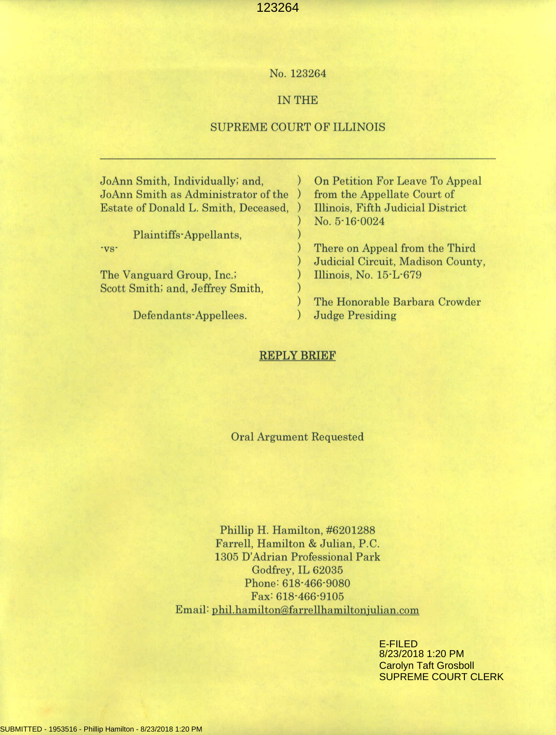## No. 123264

## IN THE

## SUPREME COURT OF ILLINOIS

| JoAnn Smith, Individually; and,      | On Petition For Leave To Appeal   |
|--------------------------------------|-----------------------------------|
| JoAnn Smith as Administrator of the  | from the Appellate Court of       |
| Estate of Donald L. Smith, Deceased, | Illinois, Fifth Judicial District |
|                                      | No. 5-16-0024                     |
| Plaintiffs-Appellants,               |                                   |
| $\mathbf{v}$ s-                      | There on Appeal from the Third    |
|                                      | Judicial Circuit, Madison County, |
| The Vanguard Group, Inc.;            | Illinois, No. 15-L-679            |
| Scott Smith; and, Jeffrey Smith,     |                                   |
|                                      | The Honorable Barbara Crowder     |
| Defendants-Annellees                 | Judge Presiding                   |

### **REPLY BRIEF**

**Oral Argument Requested** 

Phillip H. Hamilton, #6201288 Farrell, Hamilton & Julian, P.C. 1305 D'Adrian Professional Park Godfrey, IL 62035 Phone: 618-466-9080 Fax: 618-466-9105 Email: phil.hamilton@farrellhamiltonjulian.com

> E-FILED 8/23/2018 1:20 PM Carolyn Taft Grosboll SUPREME COURT CLERK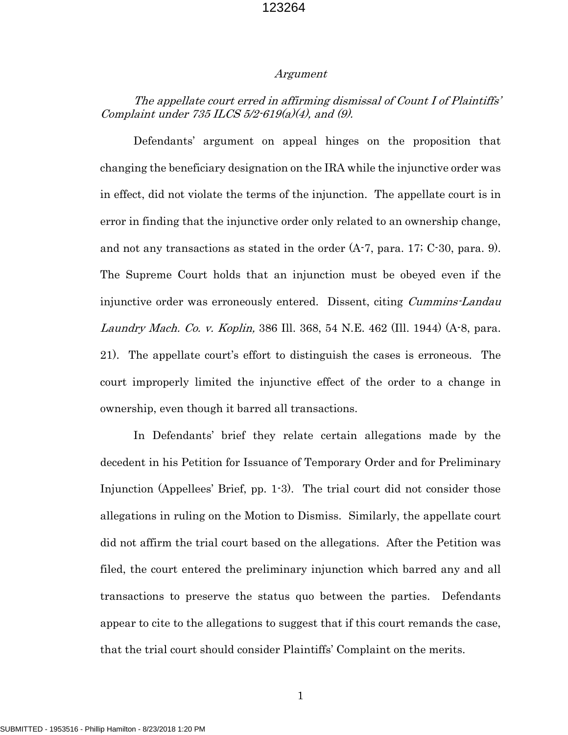#### Argument

## The appellate court erred in affirming dismissal of Count I of Plaintiffs' Complaint under  $735$  ILCS  $5/2$ - $619(a)(4)$ , and  $(9)$ .

Defendants' argument on appeal hinges on the proposition that changing the beneficiary designation on the IRA while the injunctive order was in effect, did not violate the terms of the injunction. The appellate court is in error in finding that the injunctive order only related to an ownership change, and not any transactions as stated in the order  $(A-7, \text{para}, 17; C-30, \text{para}, 9)$ . The Supreme Court holds that an injunction must be obeyed even if the injunctive order was erroneously entered. Dissent, citing *Cummins-Landau* Laundry Mach. Co. v. Koplin, 386 Ill. 368, 54 N.E. 462 (Ill. 1944) (A-8, para. 21). The appellate court's effort to distinguish the cases is erroneous. The court improperly limited the injunctive effect of the order to a change in ownership, even though it barred all transactions.

In Defendants' brief they relate certain allegations made by the decedent in his Petition for Issuance of Temporary Order and for Preliminary Injunction (Appellees' Brief, pp. 1-3). The trial court did not consider those allegations in ruling on the Motion to Dismiss. Similarly, the appellate court did not affirm the trial court based on the allegations. After the Petition was filed, the court entered the preliminary injunction which barred any and all transactions to preserve the status quo between the parties. Defendants appear to cite to the allegations to suggest that if this court remands the case, that the trial court should consider Plaintiffs' Complaint on the merits.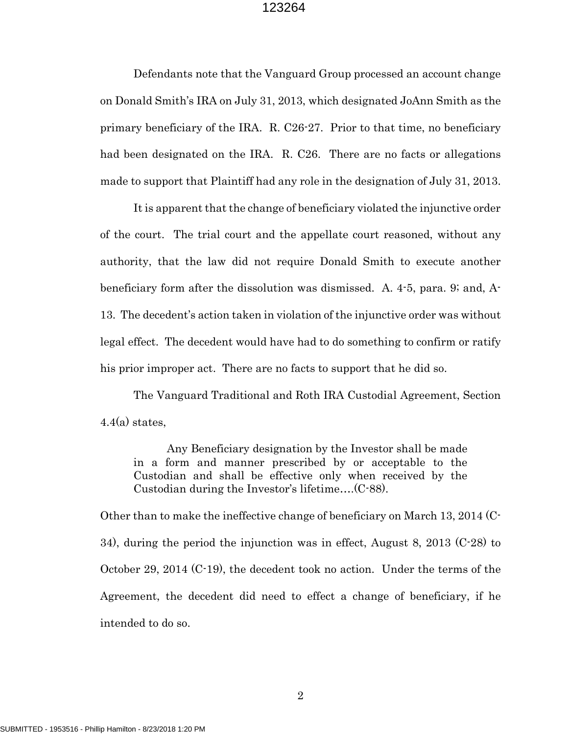Defendants note that the Vanguard Group processed an account change on Donald Smith's IRA on July 31, 2013, which designated JoAnn Smith as the primary beneficiary of the IRA. R. C26-27. Prior to that time, no beneficiary had been designated on the IRA. R. C26. There are no facts or allegations made to support that Plaintiff had any role in the designation of July 31, 2013.

It is apparent that the change of beneficiary violated the injunctive order of the court. The trial court and the appellate court reasoned, without any authority, that the law did not require Donald Smith to execute another beneficiary form after the dissolution was dismissed. A. 4-5, para. 9; and, A-13. The decedent's action taken in violation of the injunctive order was without legal effect. The decedent would have had to do something to confirm or ratify his prior improper act. There are no facts to support that he did so.

The Vanguard Traditional and Roth IRA Custodial Agreement, Section  $4.4(a)$  states,

Any Beneficiary designation by the Investor shall be made in a form and manner prescribed by or acceptable to the Custodian and shall be effective only when received by the Custodian during the Investor's lifetime….(C-88).

Other than to make the ineffective change of beneficiary on March 13, 2014 (C-34), during the period the injunction was in effect, August 8, 2013 (C-28) to October 29, 2014 (C-19), the decedent took no action. Under the terms of the Agreement, the decedent did need to effect a change of beneficiary, if he intended to do so.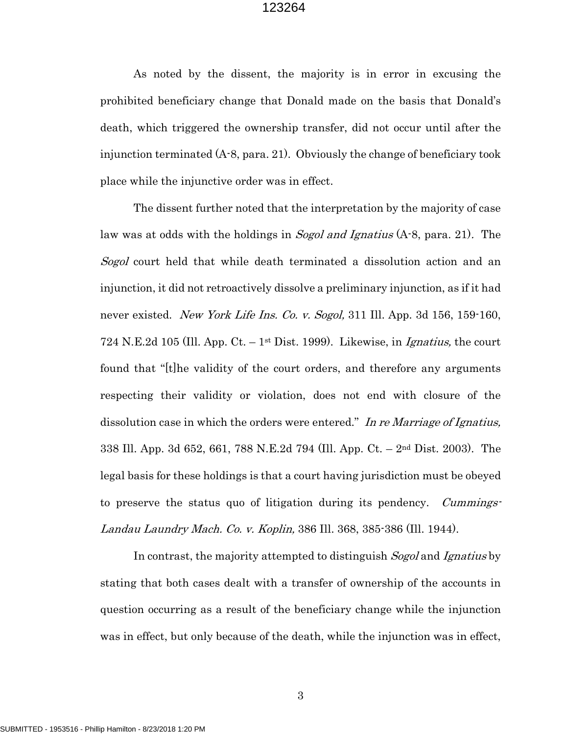As noted by the dissent, the majority is in error in excusing the prohibited beneficiary change that Donald made on the basis that Donald's death, which triggered the ownership transfer, did not occur until after the injunction terminated (A-8, para. 21). Obviously the change of beneficiary took place while the injunctive order was in effect.

The dissent further noted that the interpretation by the majority of case law was at odds with the holdings in *Sogol and Ignatius* (A-8, para. 21). The Sogol court held that while death terminated a dissolution action and an injunction, it did not retroactively dissolve a preliminary injunction, as if it had never existed. New York Life Ins. Co. v. Sogol, 311 Ill. App. 3d 156, 159-160, 724 N.E.2d 105 (Ill. App. Ct.  $-1$ <sup>st</sup> Dist. 1999). Likewise, in *Ignatius*, the court found that "[t]he validity of the court orders, and therefore any arguments respecting their validity or violation, does not end with closure of the dissolution case in which the orders were entered." In re Marriage of Ignatius, 338 Ill. App. 3d 652, 661, 788 N.E.2d 794 (Ill. App. Ct. – 2nd Dist. 2003). The legal basis for these holdings is that a court having jurisdiction must be obeyed to preserve the status quo of litigation during its pendency. *Cummings*-Landau Laundry Mach. Co. v. Koplin, 386 Ill. 368, 385-386 (Ill. 1944).

In contrast, the majority attempted to distinguish *Sogol* and Ignatius by stating that both cases dealt with a transfer of ownership of the accounts in question occurring as a result of the beneficiary change while the injunction was in effect, but only because of the death, while the injunction was in effect,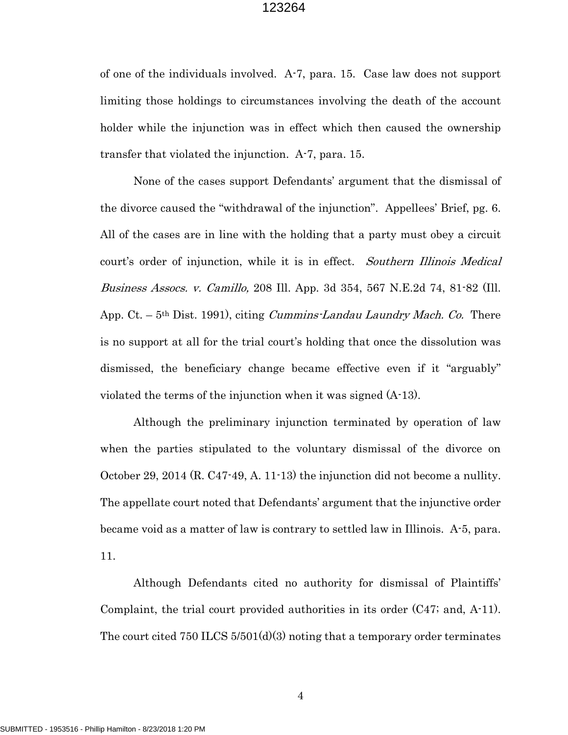of one of the individuals involved. A-7, para. 15. Case law does not support limiting those holdings to circumstances involving the death of the account holder while the injunction was in effect which then caused the ownership transfer that violated the injunction. A-7, para. 15.

None of the cases support Defendants' argument that the dismissal of the divorce caused the "withdrawal of the injunction". Appellees' Brief, pg. 6. All of the cases are in line with the holding that a party must obey a circuit court's order of injunction, while it is in effect. Southern Illinois Medical Business Assocs. v. Camillo, 208 Ill. App. 3d 354, 567 N.E.2d 74, 81-82 (Ill. App.  $C_t$ . – 5<sup>th</sup> Dist. 1991), citing *Cummins-Landau Laundry Mach. Co.* There is no support at all for the trial court's holding that once the dissolution was dismissed, the beneficiary change became effective even if it "arguably" violated the terms of the injunction when it was signed (A-13).

Although the preliminary injunction terminated by operation of law when the parties stipulated to the voluntary dismissal of the divorce on October 29, 2014 (R. C47-49, A. 11-13) the injunction did not become a nullity. The appellate court noted that Defendants' argument that the injunctive order became void as a matter of law is contrary to settled law in Illinois. A-5, para. 11.

Although Defendants cited no authority for dismissal of Plaintiffs' Complaint, the trial court provided authorities in its order (C47; and, A-11). The court cited 750 ILCS 5/501(d)(3) noting that a temporary order terminates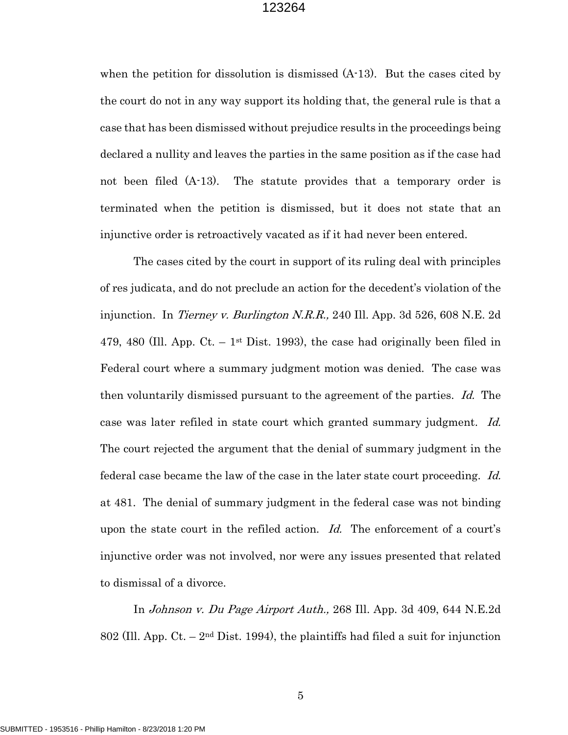when the petition for dissolution is dismissed (A-13). But the cases cited by the court do not in any way support its holding that, the general rule is that a case that has been dismissed without prejudice results in the proceedings being declared a nullity and leaves the parties in the same position as if the case had not been filed (A-13). The statute provides that a temporary order is terminated when the petition is dismissed, but it does not state that an injunctive order is retroactively vacated as if it had never been entered.

The cases cited by the court in support of its ruling deal with principles of res judicata, and do not preclude an action for the decedent's violation of the injunction. In Tierney v. Burlington N.R.R., 240 Ill. App. 3d 526, 608 N.E. 2d 479, 480 (Ill. App. Ct.  $-1$ <sup>st</sup> Dist. 1993), the case had originally been filed in Federal court where a summary judgment motion was denied. The case was then voluntarily dismissed pursuant to the agreement of the parties. Id. The case was later refiled in state court which granted summary judgment. Id. The court rejected the argument that the denial of summary judgment in the federal case became the law of the case in the later state court proceeding. Id. at 481. The denial of summary judgment in the federal case was not binding upon the state court in the refiled action. Id. The enforcement of a court's injunctive order was not involved, nor were any issues presented that related to dismissal of a divorce.

In Johnson v. Du Page Airport Auth., 268 Ill. App. 3d 409, 644 N.E.2d 802 (Ill. App.  $C_t$ . –  $2<sup>nd</sup>$  Dist. 1994), the plaintiffs had filed a suit for injunction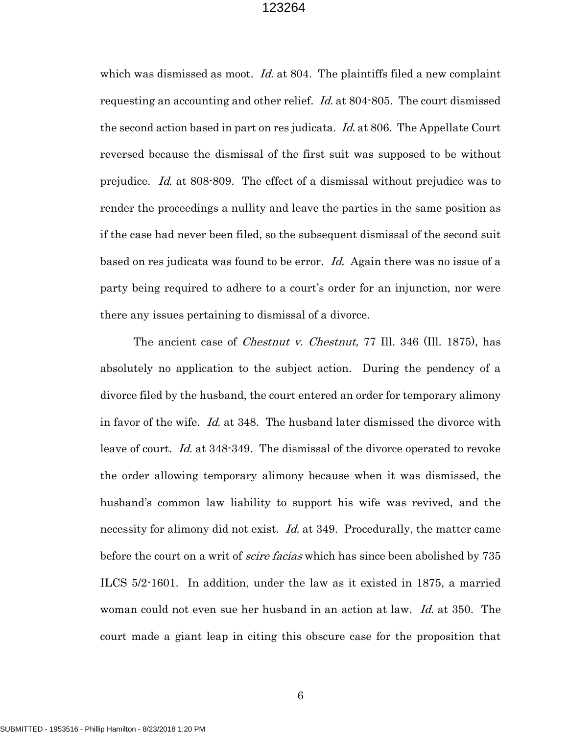which was dismissed as moot. *Id.* at 804. The plaintiffs filed a new complaint requesting an accounting and other relief. Id. at 804-805. The court dismissed the second action based in part on res judicata. Id. at 806. The Appellate Court reversed because the dismissal of the first suit was supposed to be without prejudice. Id. at 808-809. The effect of a dismissal without prejudice was to render the proceedings a nullity and leave the parties in the same position as if the case had never been filed, so the subsequent dismissal of the second suit based on res judicata was found to be error. Id. Again there was no issue of a party being required to adhere to a court's order for an injunction, nor were there any issues pertaining to dismissal of a divorce.

The ancient case of *Chestnut v. Chestnut*, 77 Ill. 346 (Ill. 1875), has absolutely no application to the subject action. During the pendency of a divorce filed by the husband, the court entered an order for temporary alimony in favor of the wife. Id. at 348. The husband later dismissed the divorce with leave of court. Id. at 348-349. The dismissal of the divorce operated to revoke the order allowing temporary alimony because when it was dismissed, the husband's common law liability to support his wife was revived, and the necessity for alimony did not exist. *Id.* at 349. Procedurally, the matter came before the court on a writ of *scire facias* which has since been abolished by 735 ILCS 5/2-1601. In addition, under the law as it existed in 1875, a married woman could not even sue her husband in an action at law. *Id.* at 350. The court made a giant leap in citing this obscure case for the proposition that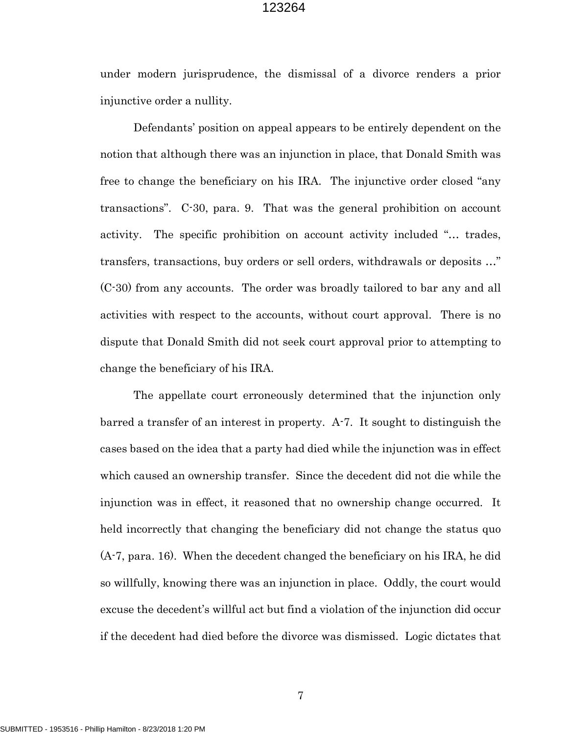under modern jurisprudence, the dismissal of a divorce renders a prior injunctive order a nullity.

Defendants' position on appeal appears to be entirely dependent on the notion that although there was an injunction in place, that Donald Smith was free to change the beneficiary on his IRA. The injunctive order closed "any transactions". C-30, para. 9. That was the general prohibition on account activity. The specific prohibition on account activity included "… trades, transfers, transactions, buy orders or sell orders, withdrawals or deposits …" (C-30) from any accounts. The order was broadly tailored to bar any and all activities with respect to the accounts, without court approval. There is no dispute that Donald Smith did not seek court approval prior to attempting to change the beneficiary of his IRA.

The appellate court erroneously determined that the injunction only barred a transfer of an interest in property. A-7. It sought to distinguish the cases based on the idea that a party had died while the injunction was in effect which caused an ownership transfer. Since the decedent did not die while the injunction was in effect, it reasoned that no ownership change occurred. It held incorrectly that changing the beneficiary did not change the status quo (A-7, para. 16). When the decedent changed the beneficiary on his IRA, he did so willfully, knowing there was an injunction in place. Oddly, the court would excuse the decedent's willful act but find a violation of the injunction did occur if the decedent had died before the divorce was dismissed. Logic dictates that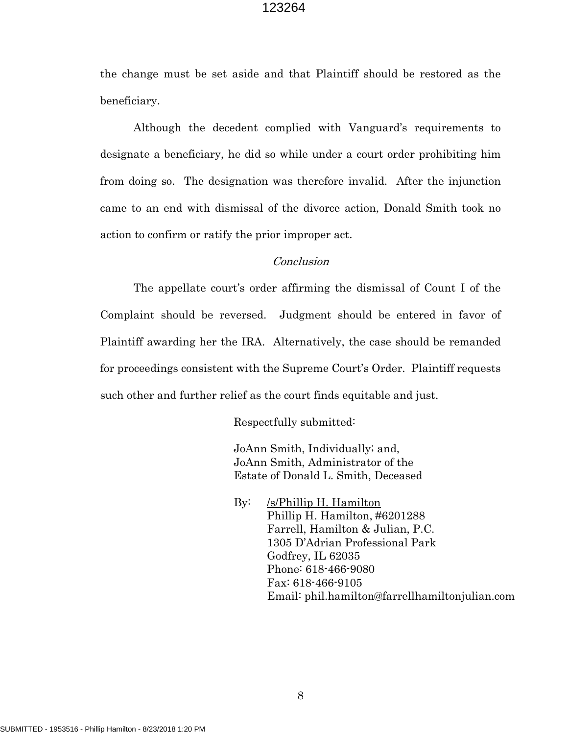the change must be set aside and that Plaintiff should be restored as the beneficiary.

Although the decedent complied with Vanguard's requirements to designate a beneficiary, he did so while under a court order prohibiting him from doing so. The designation was therefore invalid. After the injunction came to an end with dismissal of the divorce action, Donald Smith took no action to confirm or ratify the prior improper act.

## Conclusion

The appellate court's order affirming the dismissal of Count I of the Complaint should be reversed. Judgment should be entered in favor of Plaintiff awarding her the IRA. Alternatively, the case should be remanded for proceedings consistent with the Supreme Court's Order. Plaintiff requests such other and further relief as the court finds equitable and just.

Respectfully submitted:

 JoAnn Smith, Individually; and, JoAnn Smith, Administrator of the Estate of Donald L. Smith, Deceased

 By: /s/Phillip H. Hamilton Phillip H. Hamilton, #6201288 Farrell, Hamilton & Julian, P.C. 1305 D'Adrian Professional Park Godfrey, IL 62035 Phone: 618-466-9080 Fax: 618-466-9105 Email: phil.hamilton@farrellhamiltonjulian.com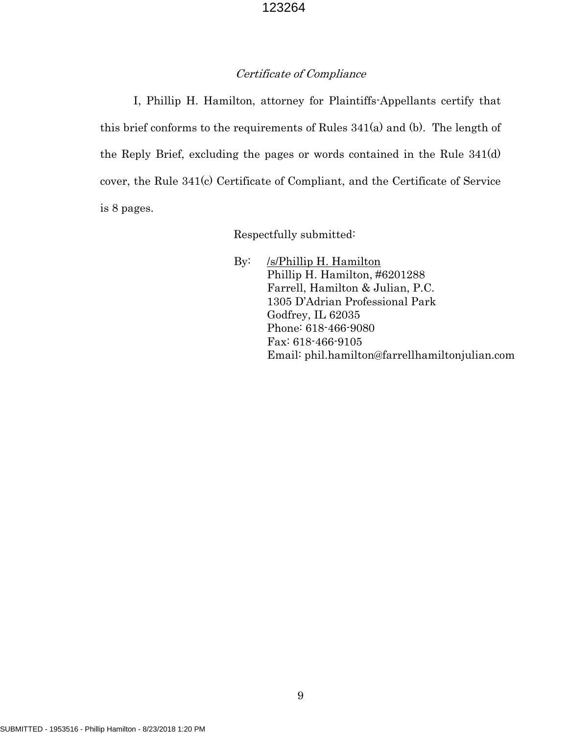## Certificate of Compliance

I, Phillip H. Hamilton, attorney for Plaintiffs-Appellants certify that this brief conforms to the requirements of Rules 341(a) and (b). The length of the Reply Brief, excluding the pages or words contained in the Rule 341(d) cover, the Rule 341(c) Certificate of Compliant, and the Certificate of Service is 8 pages.

Respectfully submitted:

 By: /s/Phillip H. Hamilton Phillip H. Hamilton, #6201288 Farrell, Hamilton & Julian, P.C. 1305 D'Adrian Professional Park Godfrey, IL 62035 Phone: 618-466-9080 Fax: 618-466-9105 Email: phil.hamilton@farrellhamiltonjulian.com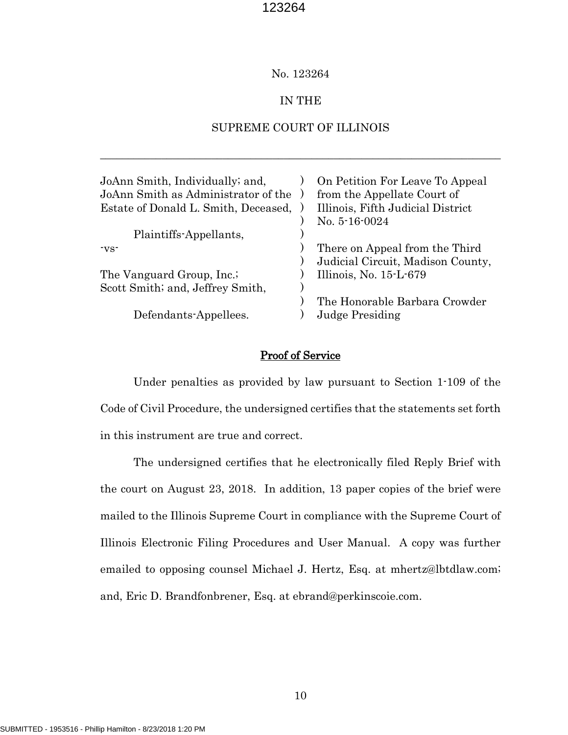#### No. 123264

#### IN THE

#### SUPREME COURT OF ILLINOIS

\_\_\_\_\_\_\_\_\_\_\_\_\_\_\_\_\_\_\_\_\_\_\_\_\_\_\_\_\_\_\_\_\_\_\_\_\_\_\_\_\_\_\_\_\_\_\_\_\_\_\_\_\_\_\_\_\_\_\_\_\_\_\_\_\_\_\_\_\_\_\_\_

| JoAnn Smith, Individually; and,<br>JoAnn Smith as Administrator of the<br>Estate of Donald L. Smith, Deceased, | On Petition For Leave To Appeal<br>from the Appellate Court of<br>Illinois, Fifth Judicial District |
|----------------------------------------------------------------------------------------------------------------|-----------------------------------------------------------------------------------------------------|
|                                                                                                                | No. 5-16-0024                                                                                       |
| Plaintiffs-Appellants,                                                                                         |                                                                                                     |
| -vs-                                                                                                           | There on Appeal from the Third                                                                      |
|                                                                                                                | Judicial Circuit, Madison County,                                                                   |
| The Vanguard Group, Inc.;                                                                                      | Illinois, No. $15-L-679$                                                                            |
| Scott Smith; and, Jeffrey Smith,                                                                               |                                                                                                     |
|                                                                                                                | The Honorable Barbara Crowder                                                                       |
| Defendants-Appellees.                                                                                          | Judge Presiding                                                                                     |
|                                                                                                                |                                                                                                     |

#### Proof of Service

Under penalties as provided by law pursuant to Section 1-109 of the Code of Civil Procedure, the undersigned certifies that the statements set forth in this instrument are true and correct.

The undersigned certifies that he electronically filed Reply Brief with the court on August 23, 2018. In addition, 13 paper copies of the brief were mailed to the Illinois Supreme Court in compliance with the Supreme Court of Illinois Electronic Filing Procedures and User Manual. A copy was further emailed to opposing counsel Michael J. Hertz, Esq. at mhertz@lbtdlaw.com; and, Eric D. Brandfonbrener, Esq. at ebrand@perkinscoie.com.